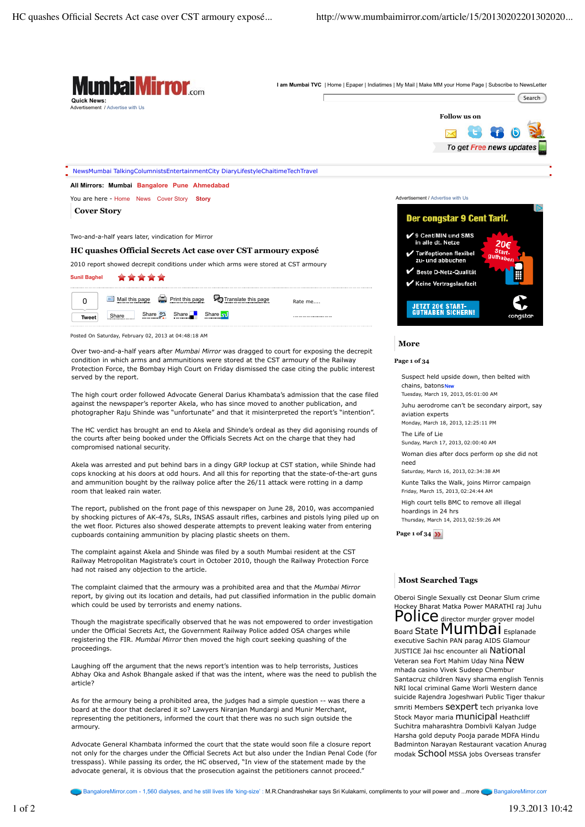

BangaloreMirror.com - 1,560 dialyses, and he still lives life 'king-size' : M.R.Chandrashekar says Sri Kulakarni, compliments to your will power and ...more BangaloreMirror.com